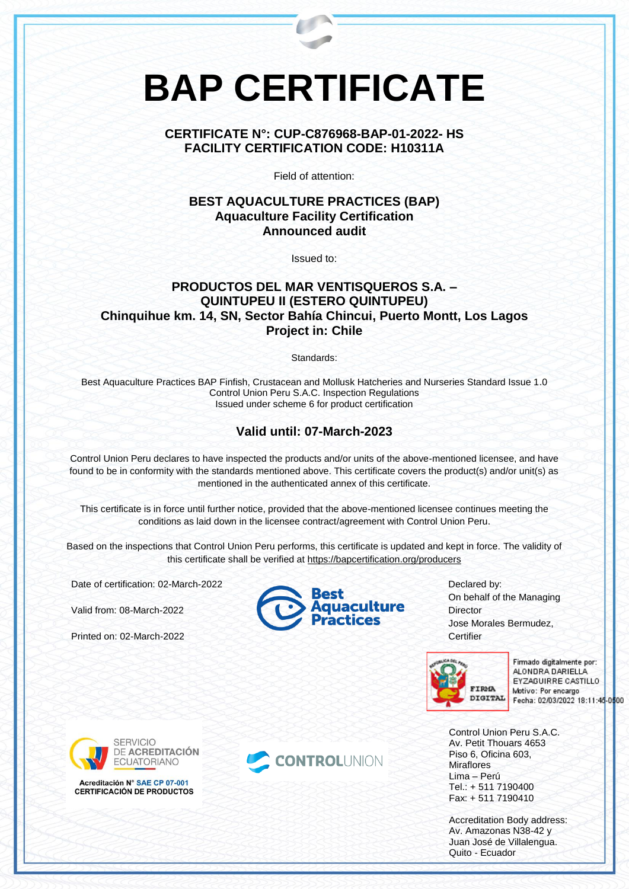# **BAP CERTIFICATE**

# **CERTIFICATE N°: CUP-C876968-BAP-01-2022- HS FACILITY CERTIFICATION CODE: H10311A**

Field of attention:

# **BEST AQUACULTURE PRACTICES (BAP) Aquaculture Facility Certification Announced audit**

Issued to:

# **PRODUCTOS DEL MAR VENTISQUEROS S.A. – QUINTUPEU II (ESTERO QUINTUPEU) Chinquihue km. 14, SN, Sector Bahía Chincui, Puerto Montt, Los Lagos Project in: Chile**

Standards:

Best Aquaculture Practices BAP Finfish, Crustacean and Mollusk Hatcheries and Nurseries Standard Issue 1.0 Control Union Peru S.A.C. Inspection Regulations Issued under scheme 6 for product certification

## **Valid until: 07-March-2023**

Control Union Peru declares to have inspected the products and/or units of the above-mentioned licensee, and have found to be in conformity with the standards mentioned above. This certificate covers the product(s) and/or unit(s) as mentioned in the authenticated annex of this certificate.

This certificate is in force until further notice, provided that the above-mentioned licensee continues meeting the conditions as laid down in the licensee contract/agreement with Control Union Peru.

Based on the inspections that Control Union Peru performs, this certificate is updated and kept in force. The validity of this certificate shall be verified at <https://bapcertification.org/producers>

Date of certification: 02-March-2022

Valid from: 08-March-2022

Printed on: 02-March-2022



Declared by: On behalf of the Managing **Director** Jose Morales Bermudez, **Certifier** 



Firmado digitalmente por: ALONDRA DARIELLA EYZAGUIRRE CASTILLO Motivo: Por encargo Fecha: 02/03/2022 18:11:45-0500

Control Union Peru S.A.C. Av. Petit Thouars 4653 Piso 6, Oficina 603, **Miraflores** Lima – Perú Tel.: + 511 7190400 Fax: + 511 7190410

Accreditation Body address: Av. Amazonas N38-42 y Juan José de Villalengua. Quito - Ecuador